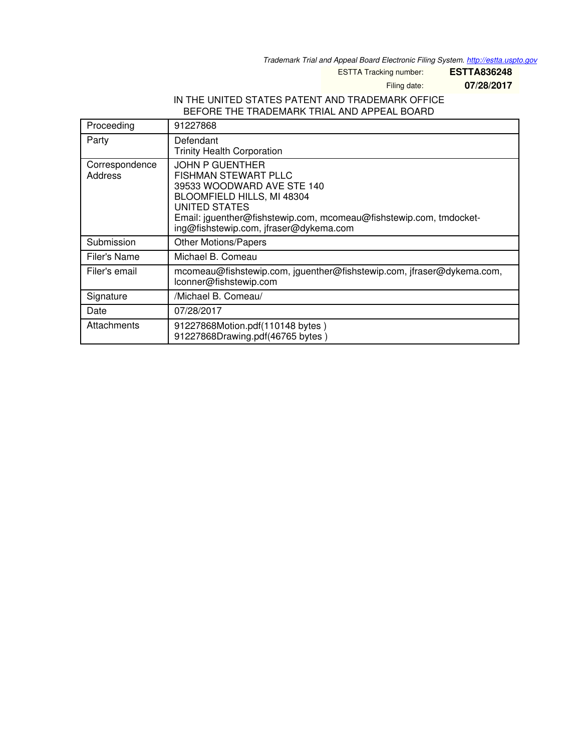*Trademark Trial and Appeal Board Electronic Filing System. <http://estta.uspto.gov>*

ESTTA Tracking number: **ESTTA836248**

Filing date: **07/28/2017**

#### IN THE UNITED STATES PATENT AND TRADEMARK OFFICE BEFORE THE TRADEMARK TRIAL AND APPEAL BOARD

| Proceeding                | 91227868                                                                                                                                                                                                                                           |
|---------------------------|----------------------------------------------------------------------------------------------------------------------------------------------------------------------------------------------------------------------------------------------------|
| Party                     | Defendant<br><b>Trinity Health Corporation</b>                                                                                                                                                                                                     |
| Correspondence<br>Address | <b>JOHN P GUENTHER</b><br><b>FISHMAN STEWART PLLC</b><br>39533 WOODWARD AVE STE 140<br>BLOOMFIELD HILLS, MI 48304<br>UNITED STATES<br>Email: jguenther@fishstewip.com, mcomeau@fishstewip.com, tmdocket-<br>ing@fishstewip.com, jfraser@dykema.com |
| Submission                | <b>Other Motions/Papers</b>                                                                                                                                                                                                                        |
| Filer's Name              | Michael B. Comeau                                                                                                                                                                                                                                  |
| Filer's email             | mcomeau@fishstewip.com, jguenther@fishstewip.com, jfraser@dykema.com,<br>lconner@fishstewip.com                                                                                                                                                    |
| Signature                 | /Michael B. Comeau/                                                                                                                                                                                                                                |
| Date                      | 07/28/2017                                                                                                                                                                                                                                         |
| Attachments               | 91227868Motion.pdf(110148 bytes)<br>91227868Drawing.pdf(46765 bytes)                                                                                                                                                                               |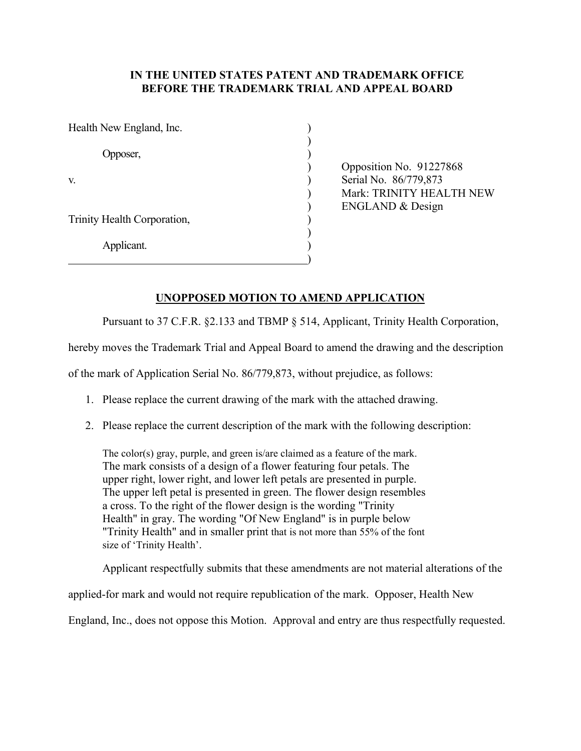#### **IN THE UNITED STATES PATENT AND TRADEMARK OFFICE BEFORE THE TRADEMARK TRIAL AND APPEAL BOARD**

| Health New England, Inc.    |  |
|-----------------------------|--|
| Opposer,                    |  |
| V.                          |  |
| Trinity Health Corporation, |  |
| Applicant.                  |  |

) Opposition No. 91227868 Serial No. 86/779,873 ) Mark: TRINITY HEALTH NEW ) ENGLAND & Design

#### **UNOPPOSED MOTION TO AMEND APPLICATION**

Pursuant to 37 C.F.R. §2.133 and TBMP § 514, Applicant, Trinity Health Corporation,

hereby moves the Trademark Trial and Appeal Board to amend the drawing and the description

of the mark of Application Serial No. 86/779,873, without prejudice, as follows:

- 1. Please replace the current drawing of the mark with the attached drawing.
- 2. Please replace the current description of the mark with the following description:

The color(s) gray, purple, and green is/are claimed as a feature of the mark. The mark consists of a design of a flower featuring four petals. The upper right, lower right, and lower left petals are presented in purple. The upper left petal is presented in green. The flower design resembles a cross. To the right of the flower design is the wording "Trinity Health" in gray. The wording "Of New England" is in purple below "Trinity Health" and in smaller print that is not more than 55% of the font size of 'Trinity Health'.

Applicant respectfully submits that these amendments are not material alterations of the

applied-for mark and would not require republication of the mark. Opposer, Health New

England, Inc., does not oppose this Motion. Approval and entry are thus respectfully requested.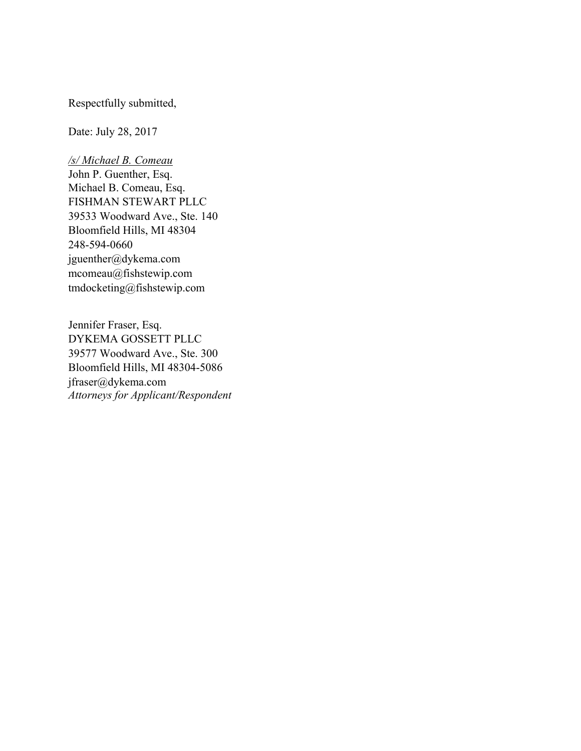Respectfully submitted,

Date: July 28, 2017

*/s/ Michael B. Comeau* John P. Guenther, Esq. Michael B. Comeau, Esq. FISHMAN STEWART PLLC 39533 Woodward Ave., Ste. 140 Bloomfield Hills, MI 48304 248-594-0660 jguenther@dykema.com mcomeau@fishstewip.com tmdocketing@fishstewip.com

Jennifer Fraser, Esq. DYKEMA GOSSETT PLLC 39577 Woodward Ave., Ste. 300 Bloomfield Hills, MI 48304-5086 jfraser@dykema.com *Attorneys for Applicant/Respondent*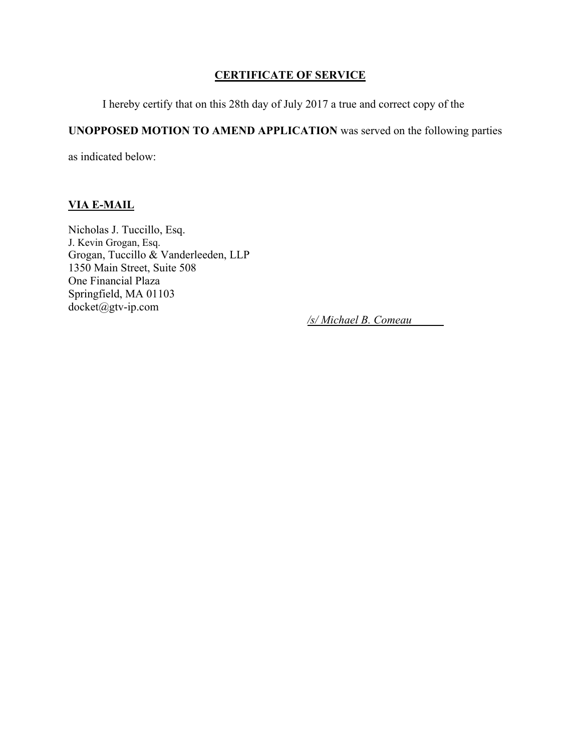### **CERTIFICATE OF SERVICE**

I hereby certify that on this 28th day of July 2017 a true and correct copy of the

# **UNOPPOSED MOTION TO AMEND APPLICATION** was served on the following parties

as indicated below:

## **VIA E-MAIL**

Nicholas J. Tuccillo, Esq. J. Kevin Grogan, Esq. Grogan, Tuccillo & Vanderleeden, LLP 1350 Main Street, Suite 508 One Financial Plaza Springfield, MA 01103 docket@gtv-ip.com

*/s/ Michael B. Comeau*